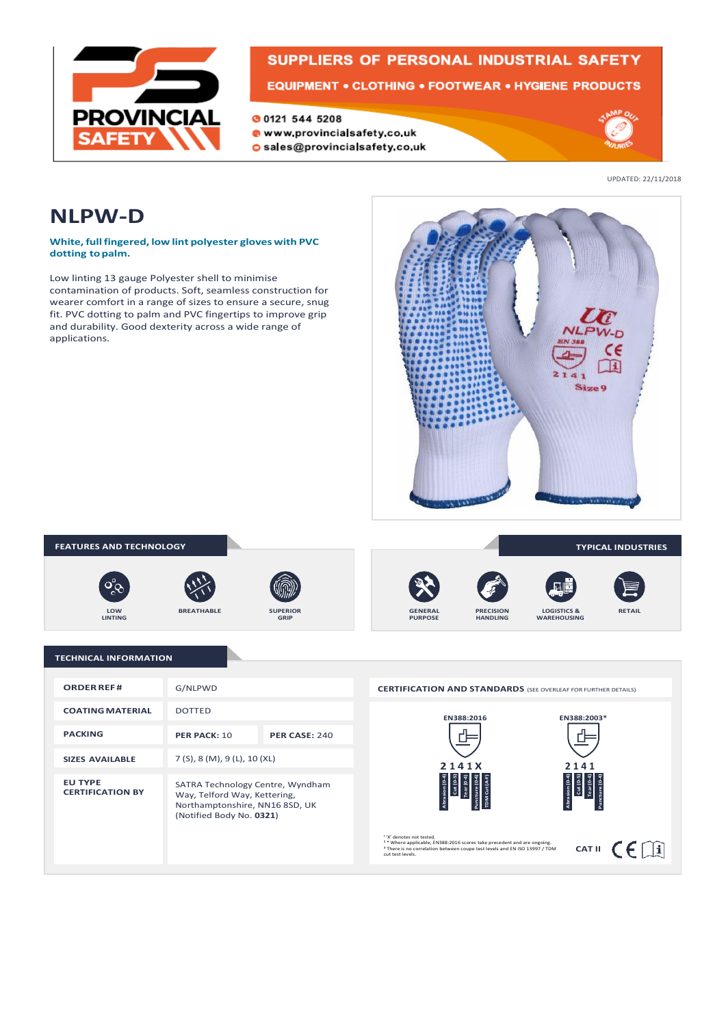

# **SUPPLIERS OF PERSONAL INDUSTRIAL SAFETY**

EQUIPMENT . CLOTHING . FOOTWEAR . HYGIENE PRODUCTS

O 0121 544 5208

· www.provincialsafety.co.uk o sales@provincialsafety.co.uk



UPDATED: 22/11/2018

### **NLPW-D**

**White,fullfingered, low lint polyester gloveswith PVC dotting topalm.**

Low linting 13 gauge Polyester shell to minimise contamination of products. Soft, seamless construction for wearer comfort in a range of sizes to ensure a secure, snug fit. PVC dotting to palm and PVC fingertips to improve grip and durability. Good dexterity across a wide range of applications.





| <b>ORDER REF#</b>                         | G/NLPWD                                                                                                                        |                      |
|-------------------------------------------|--------------------------------------------------------------------------------------------------------------------------------|----------------------|
| <b>COATING MATERIAL</b>                   | <b>DOTTED</b>                                                                                                                  |                      |
| <b>PACKING</b>                            | PER PACK: 10                                                                                                                   | <b>PER CASE: 240</b> |
| <b>SIZES AVAILABLE</b>                    | 7(5), 8(M), 9(L), 10(XL)                                                                                                       |                      |
| <b>FU TYPE</b><br><b>CERTIFICATION BY</b> | SATRA Technology Centre, Wyndham<br>Way, Telford Way, Kettering,<br>Northamptonshire, NN16 8SD, UK<br>(Notified Body No. 0321) |                      |